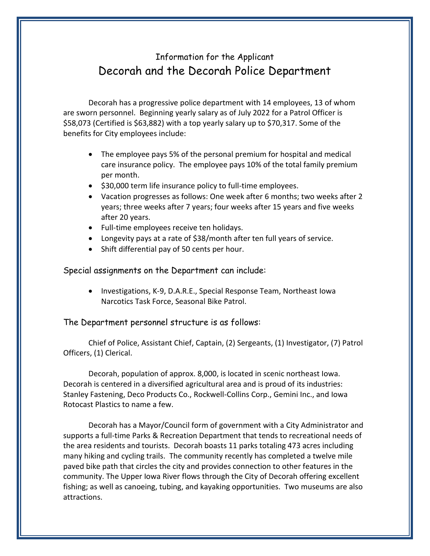## Information for the Applicant Decorah and the Decorah Police Department

Decorah has a progressive police department with 14 employees, 13 of whom are sworn personnel. Beginning yearly salary as of July 2022 for a Patrol Officer is \$58,073 (Certified is \$63,882) with a top yearly salary up to \$70,317. Some of the benefits for City employees include:

- The employee pays 5% of the personal premium for hospital and medical care insurance policy. The employee pays 10% of the total family premium per month.
- \$30,000 term life insurance policy to full-time employees.
- Vacation progresses as follows: One week after 6 months; two weeks after 2 years; three weeks after 7 years; four weeks after 15 years and five weeks after 20 years.
- Full-time employees receive ten holidays.
- Longevity pays at a rate of \$38/month after ten full years of service.
- Shift differential pay of 50 cents per hour.

Special assignments on the Department can include:

• Investigations, K-9, D.A.R.E., Special Response Team, Northeast Iowa Narcotics Task Force, Seasonal Bike Patrol.

The Department personnel structure is as follows:

Chief of Police, Assistant Chief, Captain, (2) Sergeants, (1) Investigator, (7) Patrol Officers, (1) Clerical.

Decorah, population of approx. 8,000, is located in scenic northeast Iowa. Decorah is centered in a diversified agricultural area and is proud of its industries: Stanley Fastening, Deco Products Co., Rockwell-Collins Corp., Gemini Inc., and Iowa Rotocast Plastics to name a few.

Decorah has a Mayor/Council form of government with a City Administrator and supports a full-time Parks & Recreation Department that tends to recreational needs of the area residents and tourists. Decorah boasts 11 parks totaling 473 acres including many hiking and cycling trails. The community recently has completed a twelve mile paved bike path that circles the city and provides connection to other features in the community. The Upper Iowa River flows through the City of Decorah offering excellent fishing; as well as canoeing, tubing, and kayaking opportunities. Two museums are also attractions.